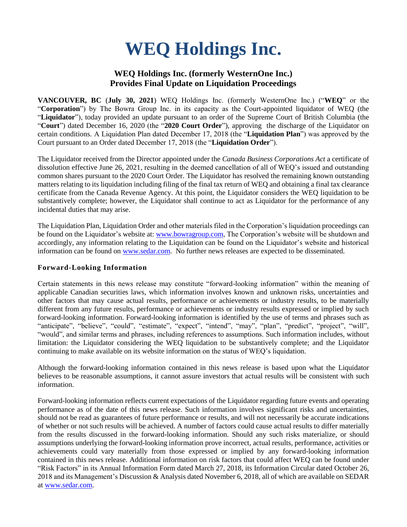# **WEQ Holdings Inc.**

## **WEQ Holdings Inc. (formerly WesternOne Inc.) Provides Final Update on Liquidation Proceedings**

**VANCOUVER, BC** (**July 30, 2021**) WEQ Holdings Inc. (formerly WesternOne Inc.) ("**WEQ**" or the "**Corporation**") by The Bowra Group Inc. in its capacity as the Court-appointed liquidator of WEQ (the "**Liquidator**"), today provided an update pursuant to an order of the Supreme Court of British Columbia (the "**Court**") dated December 16, 2020 (the "**2020 Court Order**"), approving the discharge of the Liquidator on certain conditions. A Liquidation Plan dated December 17, 2018 (the "**Liquidation Plan**") was approved by the Court pursuant to an Order dated December 17, 2018 (the "**Liquidation Order**").

The Liquidator received from the Director appointed under the *Canada Business Corporations Act* a certificate of dissolution effective June 26, 2021, resulting in the deemed cancellation of all of WEQ's issued and outstanding common shares pursuant to the 2020 Court Order. The Liquidator has resolved the remaining known outstanding matters relating to its liquidation including filing of the final tax return of WEQ and obtaining a final tax clearance certificate from the Canada Revenue Agency. At this point, the Liquidator considers the WEQ liquidation to be substantively complete; however, the Liquidator shall continue to act as Liquidator for the performance of any incidental duties that may arise.

The Liquidation Plan, Liquidation Order and other materials filed in the Corporation's liquidation proceedings can be found on the Liquidator's website at[: www.bowragroup.com,](http://www.bowragroup.com/) The Corporation's website will be shutdown and accordingly, any information relating to the Liquidation can be found on the Liquidator's website and historical information can be found on [www.sedar.com.](http://www.sedar.com/) No further news releases are expected to be disseminated.

### **Forward-Looking Information**

Certain statements in this news release may constitute "forward-looking information" within the meaning of applicable Canadian securities laws, which information involves known and unknown risks, uncertainties and other factors that may cause actual results, performance or achievements or industry results, to be materially different from any future results, performance or achievements or industry results expressed or implied by such forward-looking information. Forward-looking information is identified by the use of terms and phrases such as "anticipate", "believe", "could", "estimate", "expect", "intend", "may", "plan", "predict", "project", "will", "would", and similar terms and phrases, including references to assumptions. Such information includes, without limitation: the Liquidator considering the WEQ liquidation to be substantively complete; and the Liquidator continuing to make available on its website information on the status of WEQ's liquidation.

Although the forward-looking information contained in this news release is based upon what the Liquidator believes to be reasonable assumptions, it cannot assure investors that actual results will be consistent with such information.

Forward-looking information reflects current expectations of the Liquidator regarding future events and operating performance as of the date of this news release. Such information involves significant risks and uncertainties, should not be read as guarantees of future performance or results, and will not necessarily be accurate indications of whether or not such results will be achieved. A number of factors could cause actual results to differ materially from the results discussed in the forward-looking information. Should any such risks materialize, or should assumptions underlying the forward-looking information prove incorrect, actual results, performance, activities or achievements could vary materially from those expressed or implied by any forward-looking information contained in this news release. Additional information on risk factors that could affect WEQ can be found under "Risk Factors" in its Annual Information Form dated March 27, 2018, its Information Circular dated October 26, 2018 and its Management's Discussion & Analysis dated November 6, 2018, all of which are available on SEDAR at [www.sedar.com.](http://www.sedar.com/)